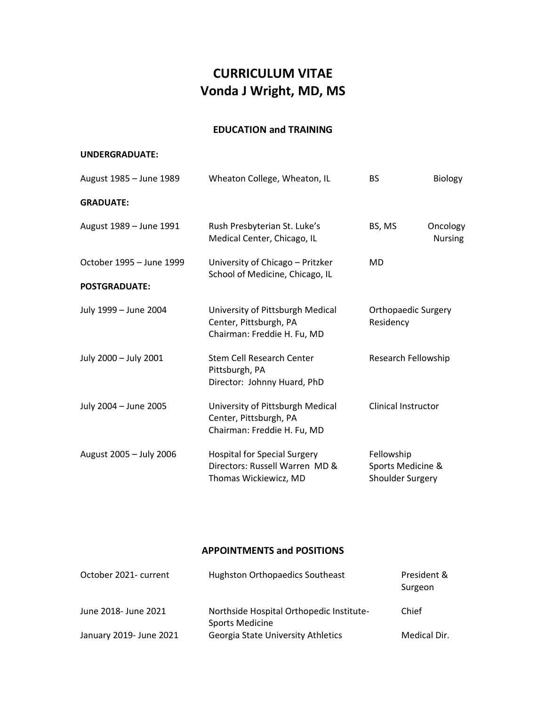# **CURRICULUM VITAE Vonda J Wright, MD, MS**

# **EDUCATION and TRAINING**

### **UNDERGRADUATE:**

| August 1985 - June 1989  | Wheaton College, Wheaton, IL                                                                   | <b>BS</b>                                           | Biology                    |
|--------------------------|------------------------------------------------------------------------------------------------|-----------------------------------------------------|----------------------------|
| <b>GRADUATE:</b>         |                                                                                                |                                                     |                            |
| August 1989 - June 1991  | Rush Presbyterian St. Luke's<br>Medical Center, Chicago, IL                                    | BS, MS                                              | Oncology<br><b>Nursing</b> |
| October 1995 - June 1999 | University of Chicago - Pritzker<br>School of Medicine, Chicago, IL                            | MD                                                  |                            |
| <b>POSTGRADUATE:</b>     |                                                                                                |                                                     |                            |
| July 1999 - June 2004    | University of Pittsburgh Medical<br>Center, Pittsburgh, PA<br>Chairman: Freddie H. Fu, MD      | <b>Orthopaedic Surgery</b><br>Residency             |                            |
| July 2000 - July 2001    | Stem Cell Research Center<br>Pittsburgh, PA<br>Director: Johnny Huard, PhD                     | Research Fellowship                                 |                            |
| July 2004 - June 2005    | University of Pittsburgh Medical<br>Center, Pittsburgh, PA<br>Chairman: Freddie H. Fu, MD      | Clinical Instructor                                 |                            |
| August 2005 - July 2006  | <b>Hospital for Special Surgery</b><br>Directors: Russell Warren MD &<br>Thomas Wickiewicz, MD | Fellowship<br>Sports Medicine &<br>Shoulder Surgery |                            |

# **APPOINTMENTS and POSITIONS**

| October 2021- current   | <b>Hughston Orthopaedics Southeast</b>                             | President &<br>Surgeon |
|-------------------------|--------------------------------------------------------------------|------------------------|
| June 2018- June 2021    | Northside Hospital Orthopedic Institute-<br><b>Sports Medicine</b> | Chief                  |
| January 2019- June 2021 | Georgia State University Athletics                                 | Medical Dir.           |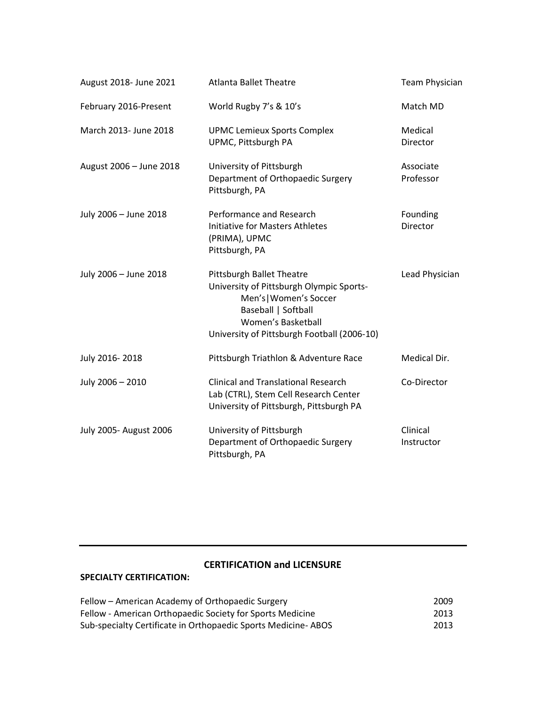| August 2018- June 2021  | <b>Atlanta Ballet Theatre</b>                                                                                                                                                               | <b>Team Physician</b>  |
|-------------------------|---------------------------------------------------------------------------------------------------------------------------------------------------------------------------------------------|------------------------|
| February 2016-Present   | World Rugby 7's & 10's                                                                                                                                                                      | Match MD               |
| March 2013- June 2018   | <b>UPMC Lemieux Sports Complex</b><br>UPMC, Pittsburgh PA                                                                                                                                   | Medical<br>Director    |
| August 2006 - June 2018 | University of Pittsburgh<br>Department of Orthopaedic Surgery<br>Pittsburgh, PA                                                                                                             | Associate<br>Professor |
| July 2006 - June 2018   | Performance and Research<br><b>Initiative for Masters Athletes</b><br>(PRIMA), UPMC<br>Pittsburgh, PA                                                                                       | Founding<br>Director   |
| July 2006 - June 2018   | Pittsburgh Ballet Theatre<br>University of Pittsburgh Olympic Sports-<br>Men's   Women's Soccer<br>Baseball   Softball<br>Women's Basketball<br>University of Pittsburgh Football (2006-10) | Lead Physician         |
| July 2016-2018          | Pittsburgh Triathlon & Adventure Race                                                                                                                                                       | Medical Dir.           |
| July 2006 - 2010        | <b>Clinical and Translational Research</b><br>Lab (CTRL), Stem Cell Research Center<br>University of Pittsburgh, Pittsburgh PA                                                              | Co-Director            |
| July 2005- August 2006  | University of Pittsburgh<br>Department of Orthopaedic Surgery<br>Pittsburgh, PA                                                                                                             | Clinical<br>Instructor |

# **CERTIFICATION and LICENSURE**

## **SPECIALTY CERTIFICATION:**

| Fellow – American Academy of Orthopaedic Surgery              | 2009 |
|---------------------------------------------------------------|------|
| Fellow - American Orthopaedic Society for Sports Medicine     | 2013 |
| Sub-specialty Certificate in Orthopaedic Sports Medicine-ABOS | 2013 |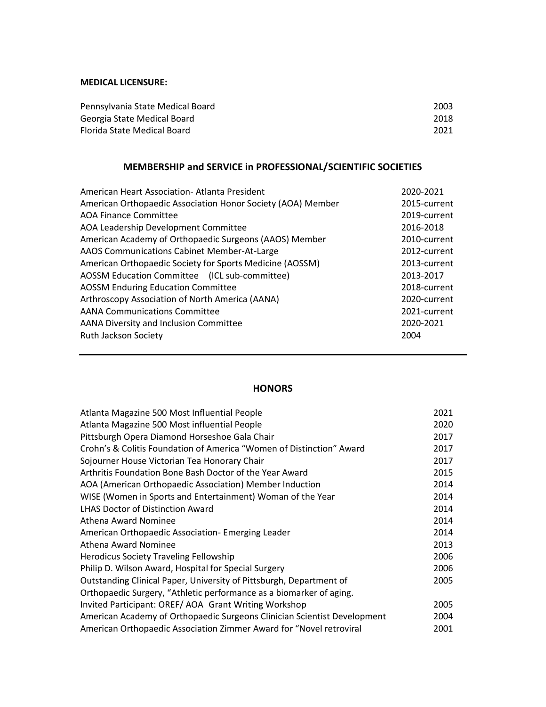## **MEDICAL LICENSURE:**

| Pennsylvania State Medical Board | 2003 |
|----------------------------------|------|
| Georgia State Medical Board      | 2018 |
| Florida State Medical Board      | 2021 |

# **MEMBERSHIP and SERVICE in PROFESSIONAL/SCIENTIFIC SOCIETIES**

| American Heart Association- Atlanta President               | 2020-2021    |
|-------------------------------------------------------------|--------------|
| American Orthopaedic Association Honor Society (AOA) Member | 2015-current |
| <b>AOA Finance Committee</b>                                | 2019-current |
| AOA Leadership Development Committee                        | 2016-2018    |
| American Academy of Orthopaedic Surgeons (AAOS) Member      | 2010-current |
| AAOS Communications Cabinet Member-At-Large                 | 2012-current |
| American Orthopaedic Society for Sports Medicine (AOSSM)    | 2013-current |
| AOSSM Education Committee (ICL sub-committee)               | 2013-2017    |
| <b>AOSSM Enduring Education Committee</b>                   | 2018-current |
| Arthroscopy Association of North America (AANA)             | 2020-current |
| <b>AANA Communications Committee</b>                        | 2021-current |
| AANA Diversity and Inclusion Committee                      | 2020-2021    |
| Ruth Jackson Society                                        | 2004         |
|                                                             |              |

## **HONORS**

| Atlanta Magazine 500 Most Influential People                             | 2021 |
|--------------------------------------------------------------------------|------|
| Atlanta Magazine 500 Most influential People                             | 2020 |
| Pittsburgh Opera Diamond Horseshoe Gala Chair                            | 2017 |
| Crohn's & Colitis Foundation of America "Women of Distinction" Award     | 2017 |
| Sojourner House Victorian Tea Honorary Chair                             | 2017 |
| Arthritis Foundation Bone Bash Doctor of the Year Award                  | 2015 |
| AOA (American Orthopaedic Association) Member Induction                  | 2014 |
| WISE (Women in Sports and Entertainment) Woman of the Year               | 2014 |
| <b>LHAS Doctor of Distinction Award</b>                                  | 2014 |
| Athena Award Nominee                                                     | 2014 |
| American Orthopaedic Association- Emerging Leader                        | 2014 |
| Athena Award Nominee                                                     | 2013 |
| Herodicus Society Traveling Fellowship                                   | 2006 |
| Philip D. Wilson Award, Hospital for Special Surgery                     | 2006 |
| Outstanding Clinical Paper, University of Pittsburgh, Department of      | 2005 |
| Orthopaedic Surgery, "Athletic performance as a biomarker of aging.      |      |
| Invited Participant: OREF/AOA Grant Writing Workshop                     | 2005 |
| American Academy of Orthopaedic Surgeons Clinician Scientist Development | 2004 |
| American Orthopaedic Association Zimmer Award for "Novel retroviral      | 2001 |
|                                                                          |      |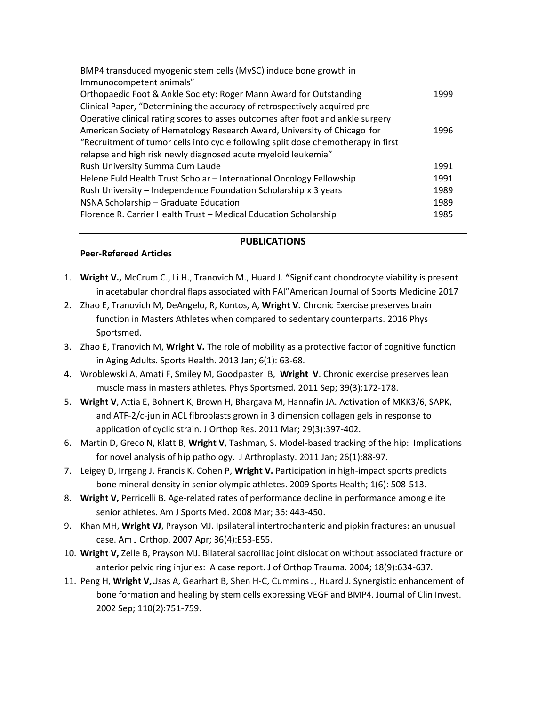| BMP4 transduced myogenic stem cells (MySC) induce bone growth in                  |      |
|-----------------------------------------------------------------------------------|------|
| Immunocompetent animals"                                                          |      |
| Orthopaedic Foot & Ankle Society: Roger Mann Award for Outstanding                | 1999 |
| Clinical Paper, "Determining the accuracy of retrospectively acquired pre-        |      |
| Operative clinical rating scores to asses outcomes after foot and ankle surgery   |      |
| American Society of Hematology Research Award, University of Chicago for          | 1996 |
| "Recruitment of tumor cells into cycle following split dose chemotherapy in first |      |
| relapse and high risk newly diagnosed acute myeloid leukemia"                     |      |
| Rush University Summa Cum Laude                                                   | 1991 |
| Helene Fuld Health Trust Scholar - International Oncology Fellowship              | 1991 |
| Rush University - Independence Foundation Scholarship x 3 years                   | 1989 |
| NSNA Scholarship - Graduate Education                                             | 1989 |
| Florence R. Carrier Health Trust - Medical Education Scholarship                  | 1985 |

#### **PUBLICATIONS**

#### **Peer-Refereed Articles**

- 1. **Wright V.,** McCrum C., Li H., Tranovich M., Huard J. **"**Significant chondrocyte viability is present in acetabular chondral flaps associated with FAI"American Journal of Sports Medicine 2017
- 2. Zhao E, Tranovich M, DeAngelo, R, Kontos, A, **Wright V.** Chronic Exercise preserves brain function in Masters Athletes when compared to sedentary counterparts. 2016 Phys Sportsmed.
- 3. Zhao E, Tranovich M, **Wright V.** The role of mobility as a protective factor of cognitive function in Aging Adults. Sports Health. 2013 Jan; 6(1): 63-68.
- 4. Wroblewski A, Amati F, Smiley M, Goodpaster B, **Wright V**. Chronic exercise preserves lean muscle mass in masters athletes. Phys Sportsmed. 2011 Sep; 39(3):172-178.
- 5. **Wright V**, Attia E, Bohnert K, Brown H, Bhargava M, Hannafin JA. Activation of MKK3/6, SAPK, and ATF-2/c-jun in ACL fibroblasts grown in 3 dimension collagen gels in response to application of cyclic strain. J Orthop Res. 2011 Mar; 29(3):397-402.
- 6. Martin D, Greco N, Klatt B, **Wright V**, Tashman, S. Model-based tracking of the hip: Implications for novel analysis of hip pathology. J Arthroplasty. 2011 Jan; 26(1):88-97.
- 7. Leigey D, Irrgang J, Francis K, Cohen P, **Wright V.** Participation in high-impact sports predicts bone mineral density in senior olympic athletes. 2009 Sports Health; 1(6): 508-513.
- 8. **Wright V,** Perricelli B. Age-related rates of performance decline in performance among elite senior athletes. Am J Sports Med. 2008 Mar; 36: 443-450.
- 9. Khan MH, **Wright VJ**, Prayson MJ. Ipsilateral intertrochanteric and pipkin fractures: an unusual case. Am J Orthop. 2007 Apr; 36(4):E53-E55.
- 10. **Wright V,** Zelle B, Prayson MJ. Bilateral sacroiliac joint dislocation without associated fracture or anterior pelvic ring injuries: A case report. J of Orthop Trauma. 2004; 18(9):634-637.
- 11. Peng H, **Wright V,**Usas A, Gearhart B, Shen H-C, Cummins J, Huard J. Synergistic enhancement of bone formation and healing by stem cells expressing VEGF and BMP4. Journal of Clin Invest. 2002 Sep; 110(2):751-759.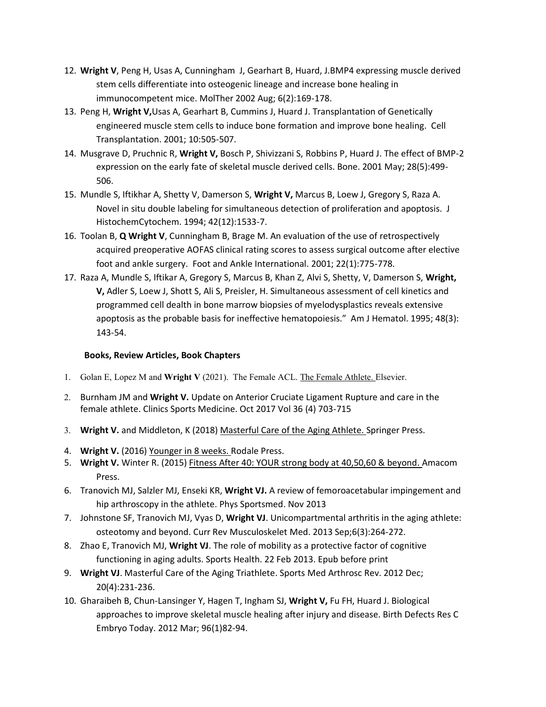- 12. **Wright V**, Peng H, Usas A, Cunningham J, Gearhart B, Huard, J.BMP4 expressing muscle derived stem cells differentiate into osteogenic lineage and increase bone healing in immunocompetent mice. MolTher 2002 Aug; 6(2):169-178.
- 13. Peng H, **Wright V,**Usas A, Gearhart B, Cummins J, Huard J. Transplantation of Genetically engineered muscle stem cells to induce bone formation and improve bone healing. Cell Transplantation. 2001; 10:505-507.
- 14. Musgrave D, Pruchnic R, **Wright V,** Bosch P, Shivizzani S, Robbins P, Huard J. The effect of BMP-2 expression on the early fate of skeletal muscle derived cells. Bone. 2001 May; 28(5):499- 506.
- 15. Mundle S, Iftikhar A, Shetty V, Damerson S, **Wright V,** Marcus B, Loew J, Gregory S, Raza A. Novel in situ double labeling for simultaneous detection of proliferation and apoptosis. J HistochemCytochem. 1994; 42(12):1533-7.
- 16. Toolan B, **Q Wright V**, Cunningham B, Brage M. An evaluation of the use of retrospectively acquired preoperative AOFAS clinical rating scores to assess surgical outcome after elective foot and ankle surgery. Foot and Ankle International. 2001; 22(1):775-778.
- 17. Raza A, Mundle S, Iftikar A, Gregory S, Marcus B, Khan Z, Alvi S, Shetty, V, Damerson S, **Wright, V,** Adler S, Loew J, Shott S, Ali S, Preisler, H. Simultaneous assessment of cell kinetics and programmed cell dealth in bone marrow biopsies of myelodysplastics reveals extensive apoptosis as the probable basis for ineffective hematopoiesis." Am J Hematol. 1995; 48(3): 143-54.

## **Books, Review Articles, Book Chapters**

- 1. Golan E, Lopez M and **Wright V** (2021).The Female ACL. The Female Athlete. Elsevier.
- 2. Burnham JM and **Wright V.** Update on Anterior Cruciate Ligament Rupture and care in the female athlete. Clinics Sports Medicine. Oct 2017 Vol 36 (4) 703-715
- 3. **Wright V.** and Middleton, K (2018) Masterful Care of the Aging Athlete. Springer Press.
- 4. **Wright V.** (2016) Younger in 8 weeks. Rodale Press.
- 5. **Wright V.** Winter R. (2015) Fitness After 40: YOUR strong body at 40,50,60 & beyond. Amacom Press.
- 6. Tranovich MJ, Salzler MJ, Enseki KR, **Wright VJ.** A review of femoroacetabular impingement and hip arthroscopy in the athlete. Phys Sportsmed. Nov 2013
- 7. Johnstone SF, Tranovich MJ, Vyas D, **Wright VJ**. Unicompartmental arthritis in the aging athlete: osteotomy and beyond. Curr Rev Musculoskelet Med. 2013 Sep;6(3):264-272.
- 8. Zhao E, Tranovich MJ, **Wright VJ**. The role of mobility as a protective factor of cognitive functioning in aging adults. Sports Health. 22 Feb 2013. Epub before print
- 9. **Wright VJ**. Masterful Care of the Aging Triathlete. Sports Med Arthrosc Rev. 2012 Dec; 20(4):231-236.
- 10. Gharaibeh B, Chun-Lansinger Y, Hagen T, Ingham SJ, **Wright V,** Fu FH, Huard J. Biological approaches to improve skeletal muscle healing after injury and disease. Birth Defects Res C Embryo Today. 2012 Mar; 96(1)82-94.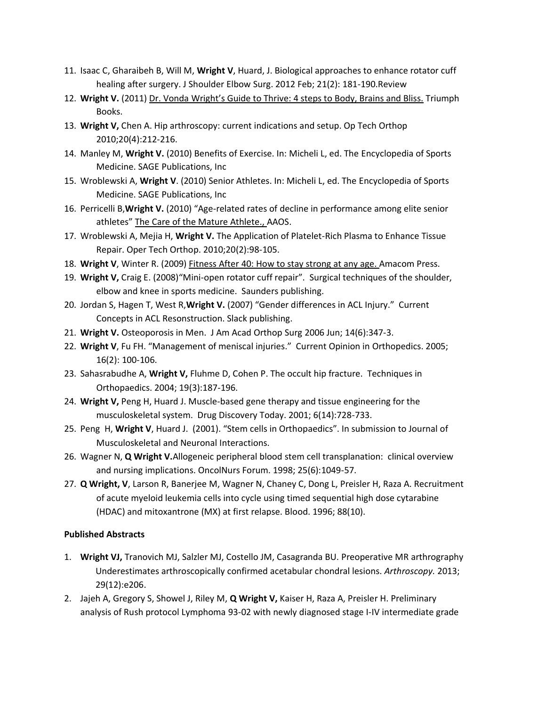- 11. Isaac C, Gharaibeh B, Will M, **Wright V**, Huard, J. Biological approaches to enhance rotator cuff healing after surgery. J Shoulder Elbow Surg. 2012 Feb; 21(2): 181-190.Review
- 12. **Wright V.** (2011) Dr. Vonda Wright's Guide to Thrive: 4 steps to Body, Brains and Bliss. Triumph Books.
- 13. **Wright V,** Chen A. Hip arthroscopy: current indications and setup. Op Tech Orthop 2010;20(4):212-216.
- 14. Manley M, **Wright V.** (2010) Benefits of Exercise. In: Micheli L, ed. The Encyclopedia of Sports Medicine. SAGE Publications, Inc
- 15. Wroblewski A, **Wright V**. (2010) Senior Athletes. In: Micheli L, ed. The Encyclopedia of Sports Medicine. SAGE Publications, Inc
- 16. Perricelli B,**Wright V.** (2010) "Age-related rates of decline in performance among elite senior athletes" The Care of the Mature Athlete., AAOS.
- 17. Wroblewski A, Mejia H, **Wright V.** The Application of Platelet-Rich Plasma to Enhance Tissue Repair. Oper Tech Orthop. 2010;20(2):98-105.
- 18. **Wright V**, Winter R. (2009) Fitness After 40: How to stay strong at any age. Amacom Press.
- 19. **Wright V,** Craig E. (2008)"Mini-open rotator cuff repair". Surgical techniques of the shoulder, elbow and knee in sports medicine. Saunders publishing.
- 20. Jordan S, Hagen T, West R,**Wright V.** (2007) "Gender differences in ACL Injury." Current Concepts in ACL Resonstruction. Slack publishing.
- 21. **Wright V.** Osteoporosis in Men. J Am Acad Orthop Surg 2006 Jun; 14(6):347-3.
- 22. **Wright V**, Fu FH. "Management of meniscal injuries." Current Opinion in Orthopedics. 2005; 16(2): 100-106.
- 23. Sahasrabudhe A, **Wright V,** Fluhme D, Cohen P. The occult hip fracture. Techniques in Orthopaedics. 2004; 19(3):187-196.
- 24. **Wright V,** Peng H, Huard J. Muscle-based gene therapy and tissue engineering for the musculoskeletal system. Drug Discovery Today. 2001; 6(14):728-733.
- 25. Peng H, **Wright V**, Huard J. (2001). "Stem cells in Orthopaedics". In submission to Journal of Musculoskeletal and Neuronal Interactions.
- 26. Wagner N, **Q Wright V.**Allogeneic peripheral blood stem cell transplanation: clinical overview and nursing implications. OncolNurs Forum. 1998; 25(6):1049-57.
- 27. **Q Wright, V**, Larson R, Banerjee M, Wagner N, Chaney C, Dong L, Preisler H, Raza A. Recruitment of acute myeloid leukemia cells into cycle using timed sequential high dose cytarabine (HDAC) and mitoxantrone (MX) at first relapse. Blood. 1996; 88(10).

# **Published Abstracts**

- 1. **Wright VJ,** Tranovich MJ, Salzler MJ, Costello JM, Casagranda BU. Preoperative MR arthrography Underestimates arthroscopically confirmed acetabular chondral lesions. *Arthroscopy.* 2013; 29(12):e206.
- 2. Jajeh A, Gregory S, Showel J, Riley M, **Q Wright V,** Kaiser H, Raza A, Preisler H. Preliminary analysis of Rush protocol Lymphoma 93-02 with newly diagnosed stage I-IV intermediate grade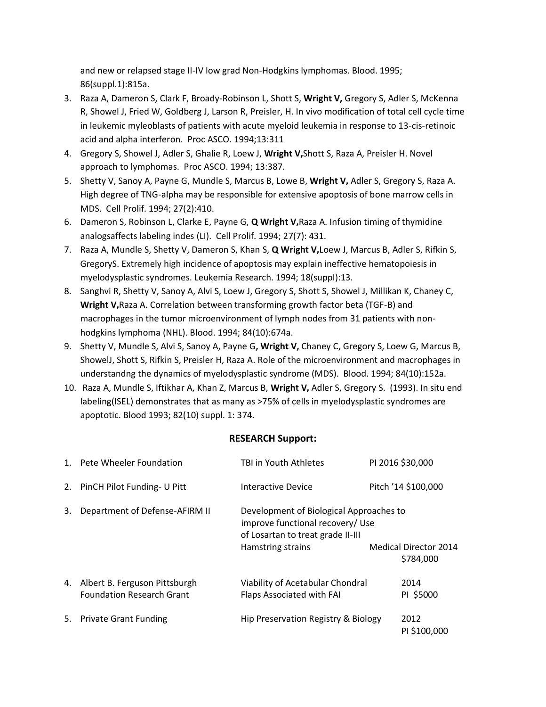and new or relapsed stage II-IV low grad Non-Hodgkins lymphomas. Blood. 1995; 86(suppl.1):815a.

- 3. Raza A, Dameron S, Clark F, Broady-Robinson L, Shott S, **Wright V,** Gregory S, Adler S, McKenna R, Showel J, Fried W, Goldberg J, Larson R, Preisler, H. In vivo modification of total cell cycle time in leukemic myleoblasts of patients with acute myeloid leukemia in response to 13-cis-retinoic acid and alpha interferon. Proc ASCO. 1994;13:311
- 4. Gregory S, Showel J, Adler S, Ghalie R, Loew J, **Wright V,**Shott S, Raza A, Preisler H. Novel approach to lymphomas. Proc ASCO. 1994; 13:387.
- 5. Shetty V, Sanoy A, Payne G, Mundle S, Marcus B, Lowe B, **Wright V,** Adler S, Gregory S, Raza A. High degree of TNG-alpha may be responsible for extensive apoptosis of bone marrow cells in MDS. Cell Prolif. 1994; 27(2):410.
- 6. Dameron S, Robinson L, Clarke E, Payne G, **Q Wright V,**Raza A. Infusion timing of thymidine analogsaffects labeling indes (LI). Cell Prolif. 1994; 27(7): 431.
- 7. Raza A, Mundle S, Shetty V, Dameron S, Khan S, **Q Wright V,**Loew J, Marcus B, Adler S, Rifkin S, GregoryS. Extremely high incidence of apoptosis may explain ineffective hematopoiesis in myelodysplastic syndromes. Leukemia Research. 1994; 18(suppl):13.
- 8. Sanghvi R, Shetty V, Sanoy A, Alvi S, Loew J, Gregory S, Shott S, Showel J, Millikan K, Chaney C, **Wright V,**Raza A. Correlation between transforming growth factor beta (TGF-B) and macrophages in the tumor microenvironment of lymph nodes from 31 patients with nonhodgkins lymphoma (NHL). Blood. 1994; 84(10):674a.
- 9. Shetty V, Mundle S, Alvi S, Sanoy A, Payne G**, Wright V,** Chaney C, Gregory S, Loew G, Marcus B, ShowelJ, Shott S, Rifkin S, Preisler H, Raza A. Role of the microenvironment and macrophages in understandng the dynamics of myelodysplastic syndrome (MDS). Blood. 1994; 84(10):152a.
- 10. Raza A, Mundle S, Iftikhar A, Khan Z, Marcus B, **Wright V,** Adler S, Gregory S. (1993). In situ end labeling(ISEL) demonstrates that as many as >75% of cells in myelodysplastic syndromes are apoptotic. Blood 1993; 82(10) suppl. 1: 374.

# **RESEARCH Support:**

|    | 1. Pete Wheeler Foundation                                           | TBI in Youth Athletes                                                                                                                 | PI 2016 \$30,000                          |
|----|----------------------------------------------------------------------|---------------------------------------------------------------------------------------------------------------------------------------|-------------------------------------------|
|    | 2. PinCH Pilot Funding- U Pitt                                       | Interactive Device                                                                                                                    | Pitch '14 \$100,000                       |
| 3. | Department of Defense-AFIRM II                                       | Development of Biological Approaches to<br>improve functional recovery/ Use<br>of Losartan to treat grade II-III<br>Hamstring strains | <b>Medical Director 2014</b><br>\$784,000 |
|    | 4. Albert B. Ferguson Pittsburgh<br><b>Foundation Research Grant</b> | Viability of Acetabular Chondral<br>Flaps Associated with FAI                                                                         | 2014<br>PI \$5000                         |
| 5. | <b>Private Grant Funding</b>                                         | Hip Preservation Registry & Biology                                                                                                   | 2012<br>PI \$100,000                      |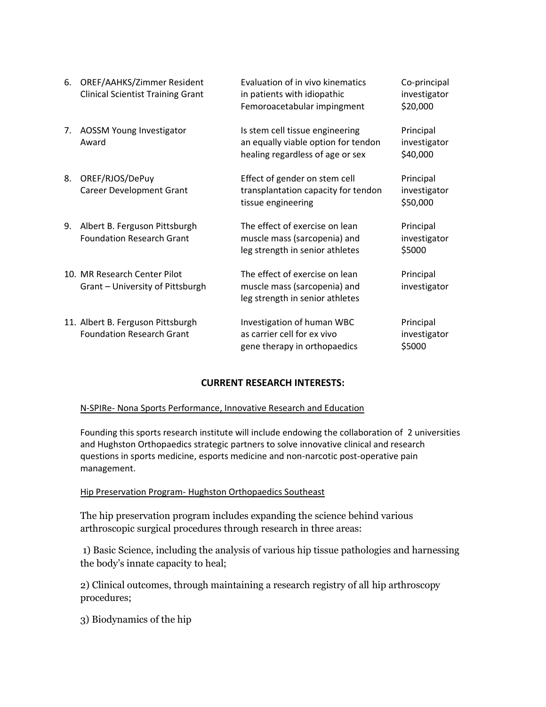| 6. | OREF/AAHKS/Zimmer Resident<br><b>Clinical Scientist Training Grant</b> | Evaluation of in vivo kinematics<br>in patients with idiopathic<br>Femoroacetabular impingment             | Co-principal<br>investigator<br>\$20,000 |
|----|------------------------------------------------------------------------|------------------------------------------------------------------------------------------------------------|------------------------------------------|
| 7. | AOSSM Young Investigator<br>Award                                      | Is stem cell tissue engineering<br>an equally viable option for tendon<br>healing regardless of age or sex | Principal<br>investigator<br>\$40,000    |
| 8. | OREF/RJOS/DePuy<br><b>Career Development Grant</b>                     | Effect of gender on stem cell<br>transplantation capacity for tendon<br>tissue engineering                 | Principal<br>investigator<br>\$50,000    |
| 9. | Albert B. Ferguson Pittsburgh<br><b>Foundation Research Grant</b>      | The effect of exercise on lean<br>muscle mass (sarcopenia) and<br>leg strength in senior athletes          | Principal<br>investigator<br>\$5000      |
|    | 10. MR Research Center Pilot<br>Grant - University of Pittsburgh       | The effect of exercise on lean<br>muscle mass (sarcopenia) and<br>leg strength in senior athletes          | Principal<br>investigator                |
|    | 11. Albert B. Ferguson Pittsburgh<br><b>Foundation Research Grant</b>  | Investigation of human WBC<br>as carrier cell for ex vivo<br>gene therapy in orthopaedics                  | Principal<br>investigator<br>\$5000      |

# **CURRENT RESEARCH INTERESTS:**

### N-SPIRe- Nona Sports Performance, Innovative Research and Education

Founding this sports research institute will include endowing the collaboration of 2 universities and Hughston Orthopaedics strategic partners to solve innovative clinical and research questions in sports medicine, esports medicine and non-narcotic post-operative pain management.

### Hip Preservation Program- Hughston Orthopaedics Southeast

The hip preservation program includes expanding the science behind various arthroscopic surgical procedures through research in three areas:

1) Basic Science, including the analysis of various hip tissue pathologies and harnessing the body's innate capacity to heal;

2) Clinical outcomes, through maintaining a research registry of all hip arthroscopy procedures;

3) Biodynamics of the hip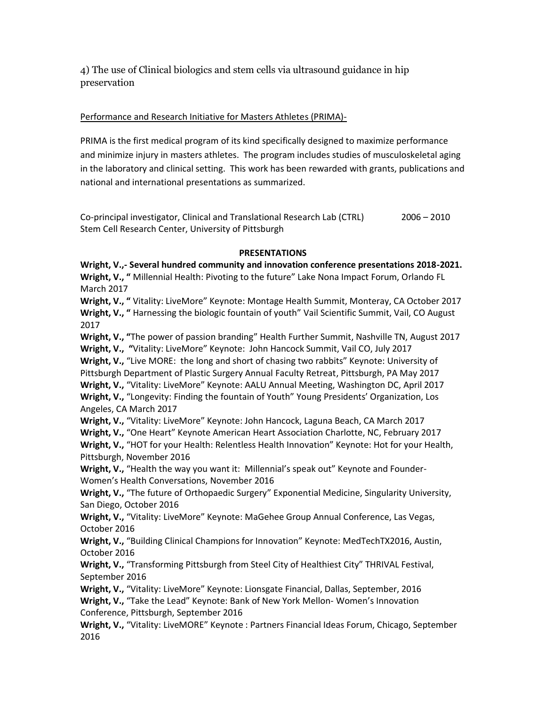4) The use of Clinical biologics and stem cells via ultrasound guidance in hip preservation

## Performance and Research Initiative for Masters Athletes (PRIMA)-

PRIMA is the first medical program of its kind specifically designed to maximize performance and minimize injury in masters athletes. The program includes studies of musculoskeletal aging in the laboratory and clinical setting. This work has been rewarded with grants, publications and national and international presentations as summarized.

Co-principal investigator, Clinical and Translational Research Lab (CTRL) 2006 – 2010 Stem Cell Research Center, University of Pittsburgh

### **PRESENTATIONS**

**Wright, V.,- Several hundred community and innovation conference presentations 2018-2021. Wright, V., "** Millennial Health: Pivoting to the future" Lake Nona Impact Forum, Orlando FL March 2017 **Wright, V., "** Vitality: LiveMore" Keynote: Montage Health Summit, Monteray, CA October 2017 **Wright, V., "** Harnessing the biologic fountain of youth" Vail Scientific Summit, Vail, CO August 2017 **Wright, V., "**The power of passion branding" Health Further Summit, Nashville TN, August 2017 **Wright, V., "**Vitality: LiveMore" Keynote: John Hancock Summit, Vail CO, July 2017 **Wright, V.,** "Live MORE: the long and short of chasing two rabbits" Keynote: University of Pittsburgh Department of Plastic Surgery Annual Faculty Retreat, Pittsburgh, PA May 2017 **Wright, V.,** "Vitality: LiveMore" Keynote: AALU Annual Meeting, Washington DC, April 2017 **Wright, V.,** "Longevity: Finding the fountain of Youth" Young Presidents' Organization, Los Angeles, CA March 2017 **Wright, V.,** "Vitality: LiveMore" Keynote: John Hancock, Laguna Beach, CA March 2017 **Wright, V.,** "One Heart" Keynote American Heart Association Charlotte, NC, February 2017 **Wright, V.,** "HOT for your Health: Relentless Health Innovation" Keynote: Hot for your Health, Pittsburgh, November 2016 **Wright, V.,** "Health the way you want it: Millennial's speak out" Keynote and Founder-Women's Health Conversations, November 2016 **Wright, V.,** "The future of Orthopaedic Surgery" Exponential Medicine, Singularity University, San Diego, October 2016 **Wright, V.,** "Vitality: LiveMore" Keynote: MaGehee Group Annual Conference, Las Vegas, October 2016 **Wright, V.,** "Building Clinical Champions for Innovation" Keynote: MedTechTX2016, Austin, October 2016 **Wright, V.,** "Transforming Pittsburgh from Steel City of Healthiest City" THRIVAL Festival, September 2016 **Wright, V.,** "Vitality: LiveMore" Keynote: Lionsgate Financial, Dallas, September, 2016

**Wright, V.,** "Take the Lead" Keynote: Bank of New York Mellon- Women's Innovation Conference, Pittsburgh, September 2016

**Wright, V.,** "Vitality: LiveMORE" Keynote : Partners Financial Ideas Forum, Chicago, September 2016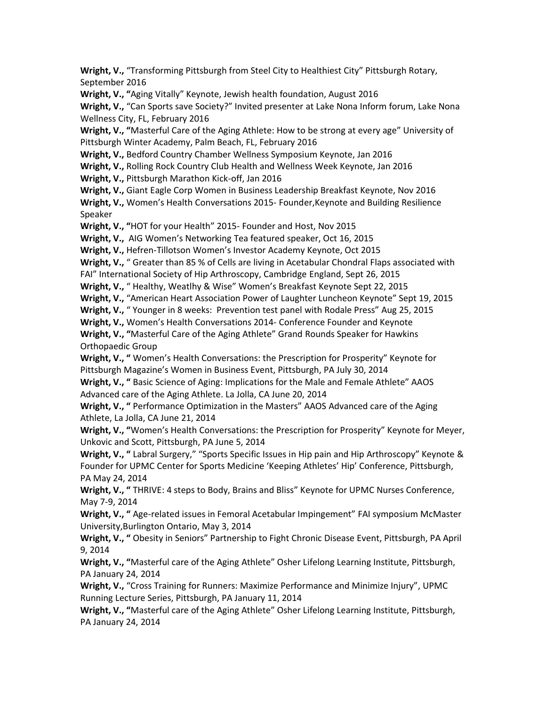**Wright, V.,** "Transforming Pittsburgh from Steel City to Healthiest City" Pittsburgh Rotary, September 2016

**Wright, V., "**Aging Vitally" Keynote, Jewish health foundation, August 2016

**Wright, V.,** "Can Sports save Society?" Invited presenter at Lake Nona Inform forum, Lake Nona Wellness City, FL, February 2016

**Wright, V., "**Masterful Care of the Aging Athlete: How to be strong at every age" University of Pittsburgh Winter Academy, Palm Beach, FL, February 2016

**Wright, V.,** Bedford Country Chamber Wellness Symposium Keynote, Jan 2016

**Wright, V.,** Rolling Rock Country Club Health and Wellness Week Keynote, Jan 2016

**Wright, V.,** Pittsburgh Marathon Kick-off, Jan 2016

**Wright, V.,** Giant Eagle Corp Women in Business Leadership Breakfast Keynote, Nov 2016

**Wright, V.,** Women's Health Conversations 2015- Founder,Keynote and Building Resilience Speaker

**Wright, V., "**HOT for your Health" 2015- Founder and Host, Nov 2015

**Wright, V.,** AIG Women's Networking Tea featured speaker, Oct 16, 2015

**Wright, V.,** Hefren-Tillotson Women's Investor Academy Keynote, Oct 2015

**Wright, V.,** " Greater than 85 % of Cells are living in Acetabular Chondral Flaps associated with

FAI" International Society of Hip Arthroscopy, Cambridge England, Sept 26, 2015

**Wright, V.,** " Healthy, Weatlhy & Wise" Women's Breakfast Keynote Sept 22, 2015

**Wright, V.,** "American Heart Association Power of Laughter Luncheon Keynote" Sept 19, 2015

**Wright, V.,** " Younger in 8 weeks: Prevention test panel with Rodale Press" Aug 25, 2015

**Wright, V.,** Women's Health Conversations 2014- Conference Founder and Keynote

**Wright, V., "**Masterful Care of the Aging Athlete" Grand Rounds Speaker for Hawkins Orthopaedic Group

**Wright, V., "** Women's Health Conversations: the Prescription for Prosperity" Keynote for Pittsburgh Magazine's Women in Business Event, Pittsburgh, PA July 30, 2014

**Wright, V., "** Basic Science of Aging: Implications for the Male and Female Athlete" AAOS Advanced care of the Aging Athlete. La Jolla, CA June 20, 2014

**Wright, V., "** Performance Optimization in the Masters" AAOS Advanced care of the Aging Athlete, La Jolla, CA June 21, 2014

**Wright, V., "**Women's Health Conversations: the Prescription for Prosperity" Keynote for Meyer, Unkovic and Scott, Pittsburgh, PA June 5, 2014

**Wright, V., "** Labral Surgery," "Sports Specific Issues in Hip pain and Hip Arthroscopy" Keynote & Founder for UPMC Center for Sports Medicine 'Keeping Athletes' Hip' Conference, Pittsburgh, PA May 24, 2014

**Wright, V., "** THRIVE: 4 steps to Body, Brains and Bliss" Keynote for UPMC Nurses Conference, May 7-9, 2014

**Wright, V., "** Age-related issues in Femoral Acetabular Impingement" FAI symposium McMaster University,Burlington Ontario, May 3, 2014

**Wright, V., "** Obesity in Seniors" Partnership to Fight Chronic Disease Event, Pittsburgh, PA April 9, 2014

**Wright, V., "**Masterful care of the Aging Athlete" Osher Lifelong Learning Institute, Pittsburgh, PA January 24, 2014

**Wright, V.,** "Cross Training for Runners: Maximize Performance and Minimize Injury", UPMC Running Lecture Series, Pittsburgh, PA January 11, 2014

**Wright, V., "**Masterful care of the Aging Athlete" Osher Lifelong Learning Institute, Pittsburgh, PA January 24, 2014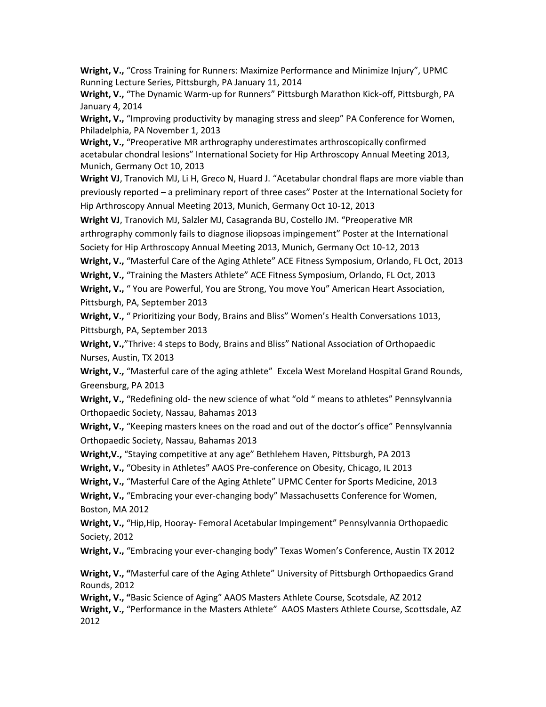**Wright, V.,** "Cross Training for Runners: Maximize Performance and Minimize Injury", UPMC Running Lecture Series, Pittsburgh, PA January 11, 2014

**Wright, V.,** "The Dynamic Warm-up for Runners" Pittsburgh Marathon Kick-off, Pittsburgh, PA January 4, 2014

**Wright, V.,** "Improving productivity by managing stress and sleep" PA Conference for Women, Philadelphia, PA November 1, 2013

**Wright, V.,** "Preoperative MR arthrography underestimates arthroscopically confirmed acetabular chondral lesions" International Society for Hip Arthroscopy Annual Meeting 2013, Munich, Germany Oct 10, 2013

**Wright VJ**, Tranovich MJ, Li H, Greco N, Huard J. "Acetabular chondral flaps are more viable than previously reported – a preliminary report of three cases" Poster at the International Society for Hip Arthroscopy Annual Meeting 2013, Munich, Germany Oct 10-12, 2013

**Wright VJ**, Tranovich MJ, Salzler MJ, Casagranda BU, Costello JM. "Preoperative MR arthrography commonly fails to diagnose iliopsoas impingement" Poster at the International Society for Hip Arthroscopy Annual Meeting 2013, Munich, Germany Oct 10-12, 2013

**Wright, V.,** "Masterful Care of the Aging Athlete" ACE Fitness Symposium, Orlando, FL Oct, 2013

**Wright, V.,** "Training the Masters Athlete" ACE Fitness Symposium, Orlando, FL Oct, 2013

**Wright, V.,** " You are Powerful, You are Strong, You move You" American Heart Association, Pittsburgh, PA, September 2013

**Wright, V.,** " Prioritizing your Body, Brains and Bliss" Women's Health Conversations 1013, Pittsburgh, PA, September 2013

**Wright, V.,**"Thrive: 4 steps to Body, Brains and Bliss" National Association of Orthopaedic Nurses, Austin, TX 2013

**Wright, V.,** "Masterful care of the aging athlete" Excela West Moreland Hospital Grand Rounds, Greensburg, PA 2013

**Wright, V.,** "Redefining old- the new science of what "old " means to athletes" Pennsylvannia Orthopaedic Society, Nassau, Bahamas 2013

**Wright, V.,** "Keeping masters knees on the road and out of the doctor's office" Pennsylvannia Orthopaedic Society, Nassau, Bahamas 2013

**Wright,V.,** "Staying competitive at any age" Bethlehem Haven, Pittsburgh, PA 2013

**Wright, V.,** "Obesity in Athletes" AAOS Pre-conference on Obesity, Chicago, IL 2013

**Wright, V.,** "Masterful Care of the Aging Athlete" UPMC Center for Sports Medicine, 2013

**Wright, V.,** "Embracing your ever-changing body" Massachusetts Conference for Women, Boston, MA 2012

**Wright, V.,** "Hip,Hip, Hooray- Femoral Acetabular Impingement" Pennsylvannia Orthopaedic Society, 2012

**Wright, V.,** "Embracing your ever-changing body" Texas Women's Conference, Austin TX 2012

**Wright, V., "**Masterful care of the Aging Athlete" University of Pittsburgh Orthopaedics Grand Rounds, 2012

**Wright, V., "**Basic Science of Aging" AAOS Masters Athlete Course, Scotsdale, AZ 2012 **Wright, V.,** "Performance in the Masters Athlete" AAOS Masters Athlete Course, Scottsdale, AZ 2012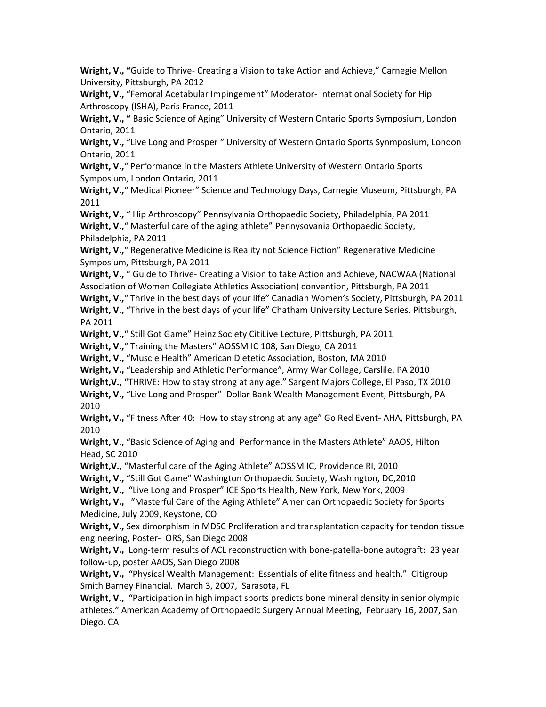**Wright, V., "**Guide to Thrive- Creating a Vision to take Action and Achieve," Carnegie Mellon University, Pittsburgh, PA 2012

**Wright, V.,** "Femoral Acetabular Impingement" Moderator- International Society for Hip Arthroscopy (ISHA), Paris France, 2011

**Wright, V., "** Basic Science of Aging" University of Western Ontario Sports Symposium, London Ontario, 2011

**Wright, V.,** "Live Long and Prosper " University of Western Ontario Sports Synmposium, London Ontario, 2011

**Wright, V.,**" Performance in the Masters Athlete University of Western Ontario Sports Symposium, London Ontario, 2011

**Wright, V.,**" Medical Pioneer" Science and Technology Days, Carnegie Museum, Pittsburgh, PA 2011

**Wright, V.,** " Hip Arthroscopy" Pennsylvania Orthopaedic Society, Philadelphia, PA 2011

**Wright, V.,**" Masterful care of the aging athlete" Pennysovania Orthopaedic Society, Philadelphia, PA 2011

**Wright, V.,**" Regenerative Medicine is Reality not Science Fiction" Regenerative Medicine Symposium, Pittsburgh, PA 2011

**Wright, V.,** " Guide to Thrive- Creating a Vision to take Action and Achieve, NACWAA (National Association of Women Collegiate Athletics Association) convention, Pittsburgh, PA 2011

**Wright, V.,**" Thrive in the best days of your life" Canadian Women's Society, Pittsburgh, PA 2011 **Wright, V.,** "Thrive in the best days of your life" Chatham University Lecture Series, Pittsburgh, PA 2011

**Wright, V.,**" Still Got Game" Heinz Society CitiLive Lecture, Pittsburgh, PA 2011

**Wright, V.,**" Training the Masters" AOSSM IC 108, San Diego, CA 2011

**Wright, V.,** "Muscle Health" American Dietetic Association, Boston, MA 2010

**Wright, V.,** "Leadership and Athletic Performance", Army War College, Carslile, PA 2010

**Wright,V.,** "THRIVE: How to stay strong at any age." Sargent Majors College, El Paso, TX 2010

**Wright, V.,** "Live Long and Prosper" Dollar Bank Wealth Management Event, Pittsburgh, PA 2010

**Wright, V.,** "Fitness After 40: How to stay strong at any age" Go Red Event- AHA, Pittsburgh, PA 2010

**Wright, V.,** "Basic Science of Aging and Performance in the Masters Athlete" AAOS, Hilton Head, SC 2010

**Wright,V.,** "Masterful care of the Aging Athlete" AOSSM IC, Providence RI, 2010

**Wright, V.,** "Still Got Game" Washington Orthopaedic Society, Washington, DC,2010

**Wright, V.,** "Live Long and Prosper" ICE Sports Health, New York, New York, 2009

**Wright, V.,** "Masterful Care of the Aging Athlete" American Orthopaedic Society for Sports Medicine, July 2009, Keystone, CO

**Wright, V.,** Sex dimorphism in MDSC Proliferation and transplantation capacity for tendon tissue engineering, Poster- ORS, San Diego 2008

**Wright, V.,** Long-term results of ACL reconstruction with bone-patella-bone autograft: 23 year follow-up, poster AAOS, San Diego 2008

Wright, V., "Physical Wealth Management: Essentials of elite fitness and health." Citigroup Smith Barney Financial. March 3, 2007, Sarasota, FL

**Wright, V.,** "Participation in high impact sports predicts bone mineral density in senior olympic athletes." American Academy of Orthopaedic Surgery Annual Meeting, February 16, 2007, San Diego, CA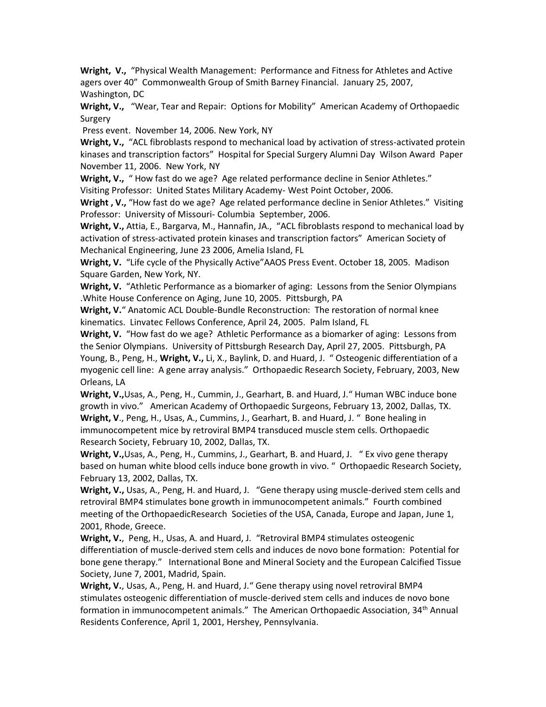**Wright, V.,** "Physical Wealth Management: Performance and Fitness for Athletes and Active agers over 40" Commonwealth Group of Smith Barney Financial. January 25, 2007, Washington, DC

**Wright, V.,** "Wear, Tear and Repair: Options for Mobility" American Academy of Orthopaedic Surgery

Press event. November 14, 2006. New York, NY

Wright, V., "ACL fibroblasts respond to mechanical load by activation of stress-activated protein kinases and transcription factors" Hospital for Special Surgery Alumni Day Wilson Award Paper November 11, 2006. New York, NY

**Wright, V.,** " How fast do we age? Age related performance decline in Senior Athletes." Visiting Professor: United States Military Academy- West Point October, 2006.

**Wright , V.,** "How fast do we age? Age related performance decline in Senior Athletes." Visiting Professor: University of Missouri- Columbia September, 2006.

**Wright, V.,** Attia, E., Bargarva, M., Hannafin, JA., "ACL fibroblasts respond to mechanical load by activation of stress-activated protein kinases and transcription factors" American Society of Mechanical Engineering, June 23 2006, Amelia Island, FL

**Wright, V.** "Life cycle of the Physically Active"AAOS Press Event. October 18, 2005. Madison Square Garden, New York, NY.

**Wright, V.** "Athletic Performance as a biomarker of aging: Lessons from the Senior Olympians .White House Conference on Aging, June 10, 2005. Pittsburgh, PA

**Wright, V.**" Anatomic ACL Double-Bundle Reconstruction: The restoration of normal knee kinematics. Linvatec Fellows Conference, April 24, 2005. Palm Island, FL

**Wright, V.** "How fast do we age? Athletic Performance as a biomarker of aging: Lessons from the Senior Olympians. University of Pittsburgh Research Day, April 27, 2005. Pittsburgh, PA Young, B., Peng, H., **Wright, V.,** Li, X., Baylink, D. and Huard, J. " Osteogenic differentiation of a myogenic cell line: A gene array analysis." Orthopaedic Research Society, February, 2003, New Orleans, LA

**Wright, V.,**Usas, A., Peng, H., Cummin, J., Gearhart, B. and Huard, J." Human WBC induce bone growth in vivo." American Academy of Orthopaedic Surgeons, February 13, 2002, Dallas, TX. **Wright, V**., Peng, H., Usas, A., Cummins, J., Gearhart, B. and Huard, J. " Bone healing in immunocompetent mice by retroviral BMP4 transduced muscle stem cells. Orthopaedic Research Society, February 10, 2002, Dallas, TX.

**Wright, V.,**Usas, A., Peng, H., Cummins, J., Gearhart, B. and Huard, J. " Ex vivo gene therapy based on human white blood cells induce bone growth in vivo. " Orthopaedic Research Society, February 13, 2002, Dallas, TX.

**Wright, V.,** Usas, A., Peng, H. and Huard, J. "Gene therapy using muscle-derived stem cells and retroviral BMP4 stimulates bone growth in immunocompetent animals." Fourth combined meeting of the OrthopaedicResearch Societies of the USA, Canada, Europe and Japan, June 1, 2001, Rhode, Greece.

**Wright, V.**, Peng, H., Usas, A. and Huard, J. "Retroviral BMP4 stimulates osteogenic differentiation of muscle-derived stem cells and induces de novo bone formation: Potential for bone gene therapy." International Bone and Mineral Society and the European Calcified Tissue Society, June 7, 2001, Madrid, Spain.

**Wright, V.**, Usas, A., Peng, H. and Huard, J." Gene therapy using novel retroviral BMP4 stimulates osteogenic differentiation of muscle-derived stem cells and induces de novo bone formation in immunocompetent animals." The American Orthopaedic Association, 34<sup>th</sup> Annual Residents Conference, April 1, 2001, Hershey, Pennsylvania.